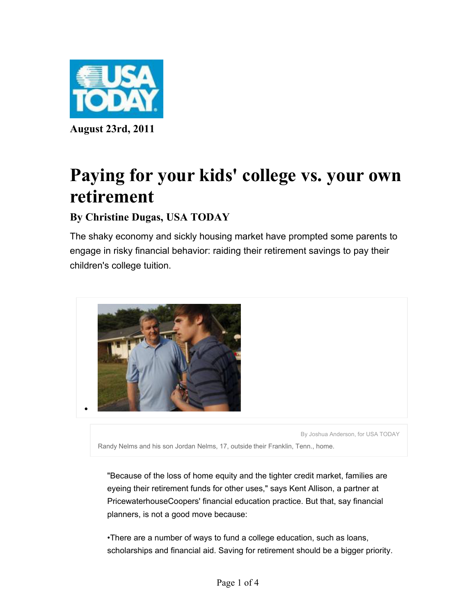

# **Paying for your kids' college vs. your own retirement**

## **By Christine Dugas, USA TODAY**

The shaky economy and sickly housing market have prompted some parents to engage in risky financial behavior: raiding their retirement savings to pay their children's college tuition.



By Joshua Anderson, for USA TODAY

Randy Nelms and his son Jordan Nelms, 17, outside their Franklin, Tenn., home.

"Because of the loss of home equity and the tighter credit market, families are eyeing their retirement funds for other uses," says Kent Allison, a partner at PricewaterhouseCoopers' financial education practice. But that, say financial planners, is not a good move because:

•There are a number of ways to fund a college education, such as loans, scholarships and financial aid. Saving for retirement should be a bigger priority.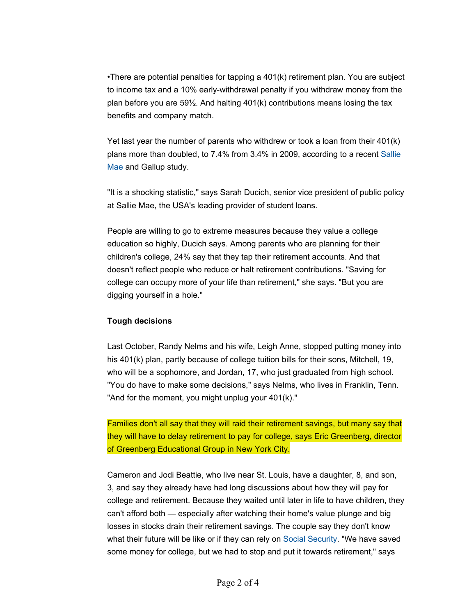•There are potential penalties for tapping a 401(k) retirement plan. You are subject to income tax and a 10% early-withdrawal penalty if you withdraw money from the plan before you are  $59\frac{1}{2}$ . And halting  $401(k)$  contributions means losing the tax benefits and company match.

Yet last year the number of parents who withdrew or took a loan from their 401(k) plans more than doubled, to 7.4% from 3.4% in 2009, according to a recent Sallie Mae and Gallup study.

"It is a shocking statistic," says Sarah Ducich, senior vice president of public policy at Sallie Mae, the USA's leading provider of student loans.

People are willing to go to extreme measures because they value a college education so highly, Ducich says. Among parents who are planning for their children's college, 24% say that they tap their retirement accounts. And that doesn't reflect people who reduce or halt retirement contributions. "Saving for college can occupy more of your life than retirement," she says. "But you are digging yourself in a hole."

### **Tough decisions**

Last October, Randy Nelms and his wife, Leigh Anne, stopped putting money into his 401(k) plan, partly because of college tuition bills for their sons, Mitchell, 19, who will be a sophomore, and Jordan, 17, who just graduated from high school. "You do have to make some decisions," says Nelms, who lives in Franklin, Tenn. "And for the moment, you might unplug your 401(k)."

Families don't all say that they will raid their retirement savings, but many say that they will have to delay retirement to pay for college, says Eric Greenberg, director of Greenberg Educational Group in New York City.

Cameron and Jodi Beattie, who live near St. Louis, have a daughter, 8, and son, 3, and say they already have had long discussions about how they will pay for college and retirement. Because they waited until later in life to have children, they can't afford both — especially after watching their home's value plunge and big losses in stocks drain their retirement savings. The couple say they don't know what their future will be like or if they can rely on Social Security. "We have saved some money for college, but we had to stop and put it towards retirement," says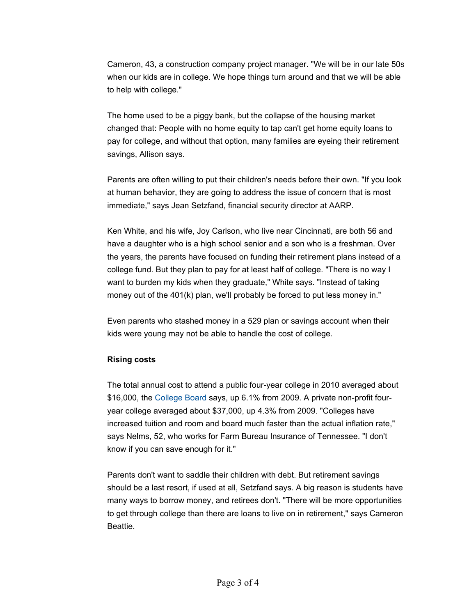Cameron, 43, a construction company project manager. "We will be in our late 50s when our kids are in college. We hope things turn around and that we will be able to help with college."

The home used to be a piggy bank, but the collapse of the housing market changed that: People with no home equity to tap can't get home equity loans to pay for college, and without that option, many families are eyeing their retirement savings, Allison says.

Parents are often willing to put their children's needs before their own. "If you look at human behavior, they are going to address the issue of concern that is most immediate," says Jean Setzfand, financial security director at AARP.

Ken White, and his wife, Joy Carlson, who live near Cincinnati, are both 56 and have a daughter who is a high school senior and a son who is a freshman. Over the years, the parents have focused on funding their retirement plans instead of a college fund. But they plan to pay for at least half of college. "There is no way I want to burden my kids when they graduate," White says. "Instead of taking money out of the 401(k) plan, we'll probably be forced to put less money in."

Even parents who stashed money in a 529 plan or savings account when their kids were young may not be able to handle the cost of college.

#### **Rising costs**

The total annual cost to attend a public four-year college in 2010 averaged about \$16,000, the College Board says, up 6.1% from 2009. A private non-profit fouryear college averaged about \$37,000, up 4.3% from 2009. "Colleges have increased tuition and room and board much faster than the actual inflation rate," says Nelms, 52, who works for Farm Bureau Insurance of Tennessee. "I don't know if you can save enough for it."

Parents don't want to saddle their children with debt. But retirement savings should be a last resort, if used at all, Setzfand says. A big reason is students have many ways to borrow money, and retirees don't. "There will be more opportunities to get through college than there are loans to live on in retirement," says Cameron Beattie.